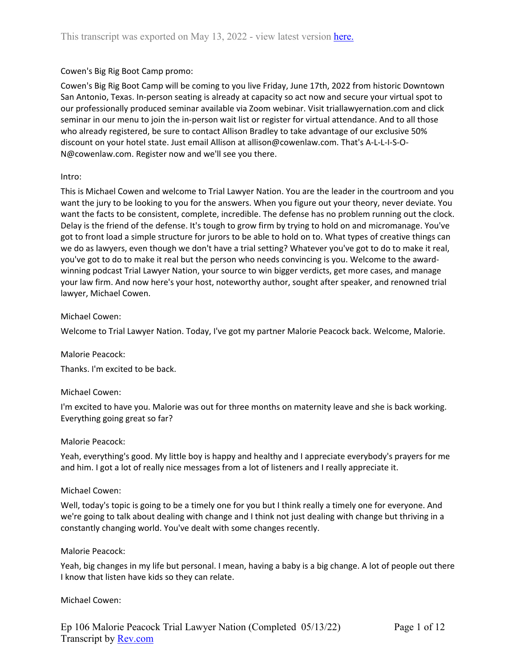### Cowen's Big Rig Boot Camp promo:

Cowen's Big Rig Boot Camp will be coming to you live Friday, June 17th, 2022 from historic Downtown San Antonio, Texas. In-person seating is already at capacity so act now and secure your virtual spot to our professionally produced seminar available via Zoom webinar. Visit triallawyernation.com and click seminar in our menu to join the in-person wait list or register for virtual attendance. And to all those who already registered, be sure to contact Allison Bradley to take advantage of our exclusive 50% discount on your hotel state. Just email Allison at allison@cowenlaw.com. That's A-L-L-I-S-O-N@cowenlaw.com. Register now and we'll see you there.

### Intro:

This is Michael Cowen and welcome to Trial Lawyer Nation. You are the leader in the courtroom and you want the jury to be looking to you for the answers. When you figure out your theory, never deviate. You want the facts to be consistent, complete, incredible. The defense has no problem running out the clock. Delay is the friend of the defense. It's tough to grow firm by trying to hold on and micromanage. You've got to front load a simple structure for jurors to be able to hold on to. What types of creative things can we do as lawyers, even though we don't have a trial setting? Whatever you've got to do to make it real, you've got to do to make it real but the person who needs convincing is you. Welcome to the awardwinning podcast Trial Lawyer Nation, your source to win bigger verdicts, get more cases, and manage your law firm. And now here's your host, noteworthy author, sought after speaker, and renowned trial lawyer, Michael Cowen.

### Michael Cowen:

Welcome to Trial Lawyer Nation. Today, I've got my partner Malorie Peacock back. Welcome, Malorie.

### Malorie Peacock:

Thanks. I'm excited to be back.

### Michael Cowen:

I'm excited to have you. Malorie was out for three months on maternity leave and she is back working. Everything going great so far?

### Malorie Peacock:

Yeah, everything's good. My little boy is happy and healthy and I appreciate everybody's prayers for me and him. I got a lot of really nice messages from a lot of listeners and I really appreciate it.

### Michael Cowen:

Well, today's topic is going to be a timely one for you but I think really a timely one for everyone. And we're going to talk about dealing with change and I think not just dealing with change but thriving in a constantly changing world. You've dealt with some changes recently.

### Malorie Peacock:

Yeah, big changes in my life but personal. I mean, having a baby is a big change. A lot of people out there I know that listen have kids so they can relate.

### Michael Cowen: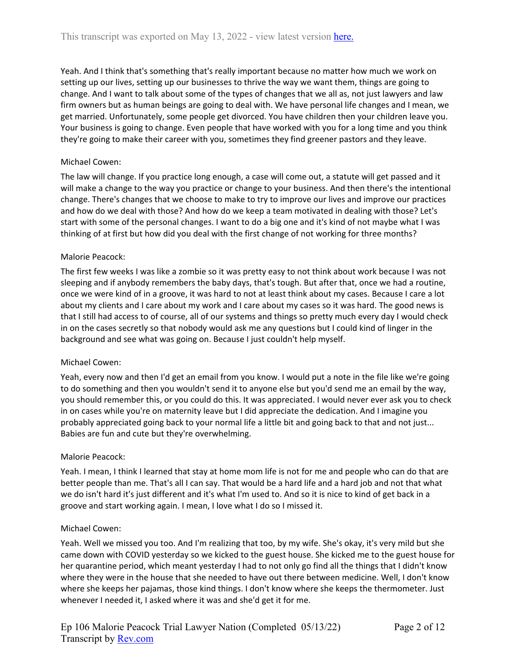Yeah. And I think that's something that's really important because no matter how much we work on setting up our lives, setting up our businesses to thrive the way we want them, things are going to change. And I want to talk about some of the types of changes that we all as, not just lawyers and law firm owners but as human beings are going to deal with. We have personal life changes and I mean, we get married. Unfortunately, some people get divorced. You have children then your children leave you. Your business is going to change. Even people that have worked with you for a long time and you think they're going to make their career with you, sometimes they find greener pastors and they leave.

## Michael Cowen:

The law will change. If you practice long enough, a case will come out, a statute will get passed and it will make a change to the way you practice or change to your business. And then there's the intentional change. There's changes that we choose to make to try to improve our lives and improve our practices and how do we deal with those? And how do we keep a team motivated in dealing with those? Let's start with some of the personal changes. I want to do a big one and it's kind of not maybe what I was thinking of at first but how did you deal with the first change of not working for three months?

### Malorie Peacock:

The first few weeks I was like a zombie so it was pretty easy to not think about work because I was not sleeping and if anybody remembers the baby days, that's tough. But after that, once we had a routine, once we were kind of in a groove, it was hard to not at least think about my cases. Because I care a lot about my clients and I care about my work and I care about my cases so it was hard. The good news is that I still had access to of course, all of our systems and things so pretty much every day I would check in on the cases secretly so that nobody would ask me any questions but I could kind of linger in the background and see what was going on. Because I just couldn't help myself.

### Michael Cowen:

Yeah, every now and then I'd get an email from you know. I would put a note in the file like we're going to do something and then you wouldn't send it to anyone else but you'd send me an email by the way, you should remember this, or you could do this. It was appreciated. I would never ever ask you to check in on cases while you're on maternity leave but I did appreciate the dedication. And I imagine you probably appreciated going back to your normal life a little bit and going back to that and not just... Babies are fun and cute but they're overwhelming.

### Malorie Peacock:

Yeah. I mean, I think I learned that stay at home mom life is not for me and people who can do that are better people than me. That's all I can say. That would be a hard life and a hard job and not that what we do isn't hard it's just different and it's what I'm used to. And so it is nice to kind of get back in a groove and start working again. I mean, I love what I do so I missed it.

### Michael Cowen:

Yeah. Well we missed you too. And I'm realizing that too, by my wife. She's okay, it's very mild but she came down with COVID yesterday so we kicked to the guest house. She kicked me to the guest house for her quarantine period, which meant yesterday I had to not only go find all the things that I didn't know where they were in the house that she needed to have out there between medicine. Well, I don't know where she keeps her pajamas, those kind things. I don't know where she keeps the thermometer. Just whenever I needed it, I asked where it was and she'd get it for me.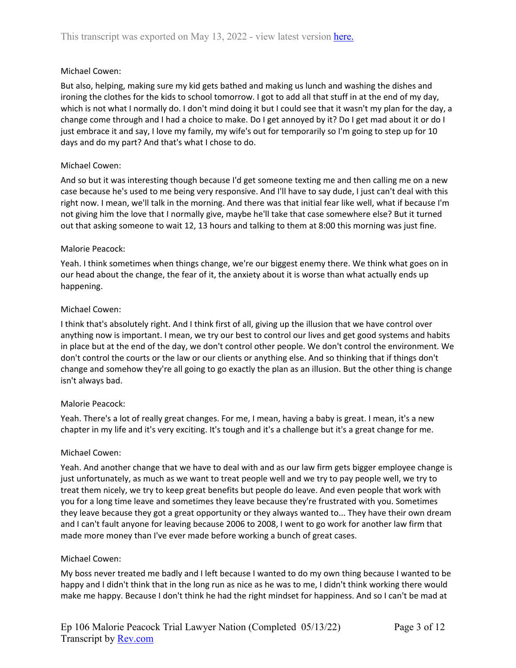## Michael Cowen:

But also, helping, making sure my kid gets bathed and making us lunch and washing the dishes and ironing the clothes for the kids to school tomorrow. I got to add all that stuff in at the end of my day, which is not what I normally do. I don't mind doing it but I could see that it wasn't my plan for the day, a change come through and I had a choice to make. Do I get annoyed by it? Do I get mad about it or do I just embrace it and say, I love my family, my wife's out for temporarily so I'm going to step up for 10 days and do my part? And that's what I chose to do.

## Michael Cowen:

And so but it was interesting though because I'd get someone texting me and then calling me on a new case because he's used to me being very responsive. And I'll have to say dude, I just can't deal with this right now. I mean, we'll talk in the morning. And there was that initial fear like well, what if because I'm not giving him the love that I normally give, maybe he'll take that case somewhere else? But it turned out that asking someone to wait 12, 13 hours and talking to them at 8:00 this morning was just fine.

### Malorie Peacock:

Yeah. I think sometimes when things change, we're our biggest enemy there. We think what goes on in our head about the change, the fear of it, the anxiety about it is worse than what actually ends up happening.

### Michael Cowen:

I think that's absolutely right. And I think first of all, giving up the illusion that we have control over anything now is important. I mean, we try our best to control our lives and get good systems and habits in place but at the end of the day, we don't control other people. We don't control the environment. We don't control the courts or the law or our clients or anything else. And so thinking that if things don't change and somehow they're all going to go exactly the plan as an illusion. But the other thing is change isn't always bad.

## Malorie Peacock:

Yeah. There's a lot of really great changes. For me, I mean, having a baby is great. I mean, it's a new chapter in my life and it's very exciting. It's tough and it's a challenge but it's a great change for me.

### Michael Cowen:

Yeah. And another change that we have to deal with and as our law firm gets bigger employee change is just unfortunately, as much as we want to treat people well and we try to pay people well, we try to treat them nicely, we try to keep great benefits but people do leave. And even people that work with you for a long time leave and sometimes they leave because they're frustrated with you. Sometimes they leave because they got a great opportunity or they always wanted to... They have their own dream and I can't fault anyone for leaving because 2006 to 2008, I went to go work for another law firm that made more money than I've ever made before working a bunch of great cases.

### Michael Cowen:

My boss never treated me badly and I left because I wanted to do my own thing because I wanted to be happy and I didn't think that in the long run as nice as he was to me, I didn't think working there would make me happy. Because I don't think he had the right mindset for happiness. And so I can't be mad at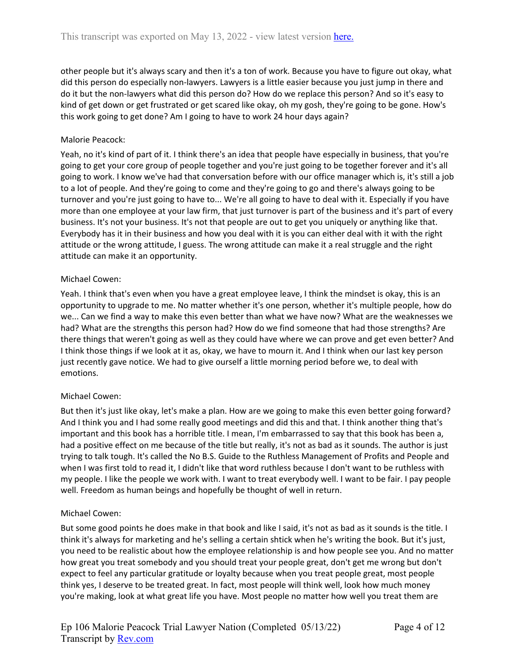other people but it's always scary and then it's a ton of work. Because you have to figure out okay, what did this person do especially non-lawyers. Lawyers is a little easier because you just jump in there and do it but the non-lawyers what did this person do? How do we replace this person? And so it's easy to kind of get down or get frustrated or get scared like okay, oh my gosh, they're going to be gone. How's this work going to get done? Am I going to have to work 24 hour days again?

## Malorie Peacock:

Yeah, no it's kind of part of it. I think there's an idea that people have especially in business, that you're going to get your core group of people together and you're just going to be together forever and it's all going to work. I know we've had that conversation before with our office manager which is, it's still a job to a lot of people. And they're going to come and they're going to go and there's always going to be turnover and you're just going to have to... We're all going to have to deal with it. Especially if you have more than one employee at your law firm, that just turnover is part of the business and it's part of every business. It's not your business. It's not that people are out to get you uniquely or anything like that. Everybody has it in their business and how you deal with it is you can either deal with it with the right attitude or the wrong attitude, I guess. The wrong attitude can make it a real struggle and the right attitude can make it an opportunity.

## Michael Cowen:

Yeah. I think that's even when you have a great employee leave, I think the mindset is okay, this is an opportunity to upgrade to me. No matter whether it's one person, whether it's multiple people, how do we... Can we find a way to make this even better than what we have now? What are the weaknesses we had? What are the strengths this person had? How do we find someone that had those strengths? Are there things that weren't going as well as they could have where we can prove and get even better? And I think those things if we look at it as, okay, we have to mourn it. And I think when our last key person just recently gave notice. We had to give ourself a little morning period before we, to deal with emotions.

## Michael Cowen:

But then it's just like okay, let's make a plan. How are we going to make this even better going forward? And I think you and I had some really good meetings and did this and that. I think another thing that's important and this book has a horrible title. I mean, I'm embarrassed to say that this book has been a, had a positive effect on me because of the title but really, it's not as bad as it sounds. The author is just trying to talk tough. It's called the No B.S. Guide to the Ruthless Management of Profits and People and when I was first told to read it, I didn't like that word ruthless because I don't want to be ruthless with my people. I like the people we work with. I want to treat everybody well. I want to be fair. I pay people well. Freedom as human beings and hopefully be thought of well in return.

## Michael Cowen:

But some good points he does make in that book and like I said, it's not as bad as it sounds is the title. I think it's always for marketing and he's selling a certain shtick when he's writing the book. But it's just, you need to be realistic about how the employee relationship is and how people see you. And no matter how great you treat somebody and you should treat your people great, don't get me wrong but don't expect to feel any particular gratitude or loyalty because when you treat people great, most people think yes, I deserve to be treated great. In fact, most people will think well, look how much money you're making, look at what great life you have. Most people no matter how well you treat them are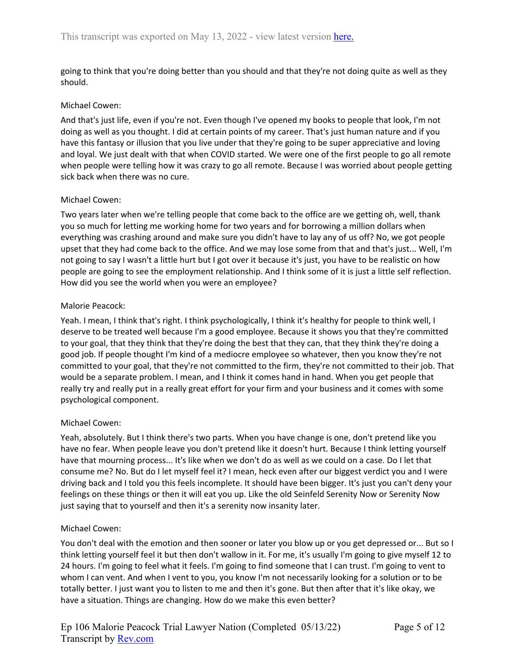going to think that you're doing better than you should and that they're not doing quite as well as they should.

### Michael Cowen:

And that's just life, even if you're not. Even though I've opened my books to people that look, I'm not doing as well as you thought. I did at certain points of my career. That's just human nature and if you have this fantasy or illusion that you live under that they're going to be super appreciative and loving and loyal. We just dealt with that when COVID started. We were one of the first people to go all remote when people were telling how it was crazy to go all remote. Because I was worried about people getting sick back when there was no cure.

### Michael Cowen:

Two years later when we're telling people that come back to the office are we getting oh, well, thank you so much for letting me working home for two years and for borrowing a million dollars when everything was crashing around and make sure you didn't have to lay any of us off? No, we got people upset that they had come back to the office. And we may lose some from that and that's just... Well, I'm not going to say I wasn't a little hurt but I got over it because it's just, you have to be realistic on how people are going to see the employment relationship. And I think some of it is just a little self reflection. How did you see the world when you were an employee?

### Malorie Peacock:

Yeah. I mean, I think that's right. I think psychologically, I think it's healthy for people to think well, I deserve to be treated well because I'm a good employee. Because it shows you that they're committed to your goal, that they think that they're doing the best that they can, that they think they're doing a good job. If people thought I'm kind of a mediocre employee so whatever, then you know they're not committed to your goal, that they're not committed to the firm, they're not committed to their job. That would be a separate problem. I mean, and I think it comes hand in hand. When you get people that really try and really put in a really great effort for your firm and your business and it comes with some psychological component.

### Michael Cowen:

Yeah, absolutely. But I think there's two parts. When you have change is one, don't pretend like you have no fear. When people leave you don't pretend like it doesn't hurt. Because I think letting yourself have that mourning process... It's like when we don't do as well as we could on a case. Do I let that consume me? No. But do I let myself feel it? I mean, heck even after our biggest verdict you and I were driving back and I told you this feels incomplete. It should have been bigger. It's just you can't deny your feelings on these things or then it will eat you up. Like the old Seinfeld Serenity Now or Serenity Now just saying that to yourself and then it's a serenity now insanity later.

### Michael Cowen:

You don't deal with the emotion and then sooner or later you blow up or you get depressed or... But so I think letting yourself feel it but then don't wallow in it. For me, it's usually I'm going to give myself 12 to 24 hours. I'm going to feel what it feels. I'm going to find someone that I can trust. I'm going to vent to whom I can vent. And when I vent to you, you know I'm not necessarily looking for a solution or to be totally better. I just want you to listen to me and then it's gone. But then after that it's like okay, we have a situation. Things are changing. How do we make this even better?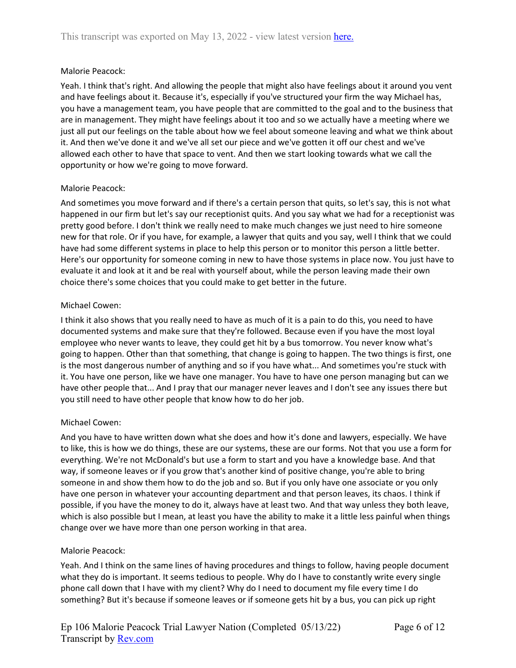### Malorie Peacock:

Yeah. I think that's right. And allowing the people that might also have feelings about it around you vent and have feelings about it. Because it's, especially if you've structured your firm the way Michael has, you have a management team, you have people that are committed to the goal and to the business that are in management. They might have feelings about it too and so we actually have a meeting where we just all put our feelings on the table about how we feel about someone leaving and what we think about it. And then we've done it and we've all set our piece and we've gotten it off our chest and we've allowed each other to have that space to vent. And then we start looking towards what we call the opportunity or how we're going to move forward.

### Malorie Peacock:

And sometimes you move forward and if there's a certain person that quits, so let's say, this is not what happened in our firm but let's say our receptionist quits. And you say what we had for a receptionist was pretty good before. I don't think we really need to make much changes we just need to hire someone new for that role. Or if you have, for example, a lawyer that quits and you say, well I think that we could have had some different systems in place to help this person or to monitor this person a little better. Here's our opportunity for someone coming in new to have those systems in place now. You just have to evaluate it and look at it and be real with yourself about, while the person leaving made their own choice there's some choices that you could make to get better in the future.

### Michael Cowen:

I think it also shows that you really need to have as much of it is a pain to do this, you need to have documented systems and make sure that they're followed. Because even if you have the most loyal employee who never wants to leave, they could get hit by a bus tomorrow. You never know what's going to happen. Other than that something, that change is going to happen. The two things is first, one is the most dangerous number of anything and so if you have what... And sometimes you're stuck with it. You have one person, like we have one manager. You have to have one person managing but can we have other people that... And I pray that our manager never leaves and I don't see any issues there but you still need to have other people that know how to do her job.

## Michael Cowen:

And you have to have written down what she does and how it's done and lawyers, especially. We have to like, this is how we do things, these are our systems, these are our forms. Not that you use a form for everything. We're not McDonald's but use a form to start and you have a knowledge base. And that way, if someone leaves or if you grow that's another kind of positive change, you're able to bring someone in and show them how to do the job and so. But if you only have one associate or you only have one person in whatever your accounting department and that person leaves, its chaos. I think if possible, if you have the money to do it, always have at least two. And that way unless they both leave, which is also possible but I mean, at least you have the ability to make it a little less painful when things change over we have more than one person working in that area.

### Malorie Peacock:

Yeah. And I think on the same lines of having procedures and things to follow, having people document what they do is important. It seems tedious to people. Why do I have to constantly write every single phone call down that I have with my client? Why do I need to document my file every time I do something? But it's because if someone leaves or if someone gets hit by a bus, you can pick up right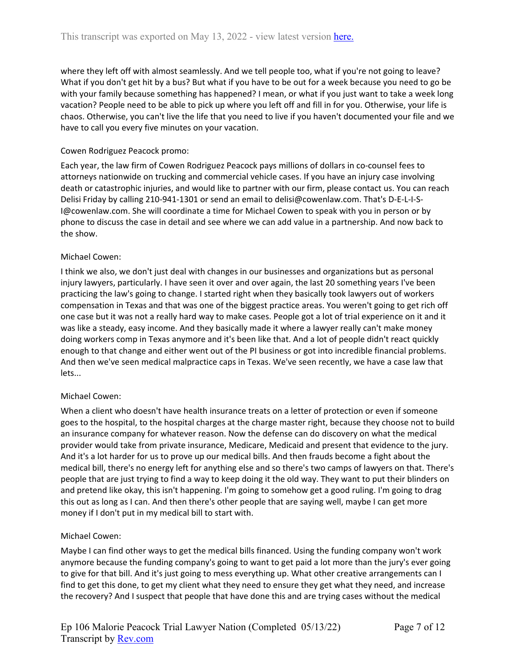where they left off with almost seamlessly. And we tell people too, what if you're not going to leave? What if you don't get hit by a bus? But what if you have to be out for a week because you need to go be with your family because something has happened? I mean, or what if you just want to take a week long vacation? People need to be able to pick up where you left off and fill in for you. Otherwise, your life is chaos. Otherwise, you can't live the life that you need to live if you haven't documented your file and we have to call you every five minutes on your vacation.

### Cowen Rodriguez Peacock promo:

Each year, the law firm of Cowen Rodriguez Peacock pays millions of dollars in co-counsel fees to attorneys nationwide on trucking and commercial vehicle cases. If you have an injury case involving death or catastrophic injuries, and would like to partner with our firm, please contact us. You can reach Delisi Friday by calling 210-941-1301 or send an email to delisi@cowenlaw.com. That's D-E-L-I-S-I@cowenlaw.com. She will coordinate a time for Michael Cowen to speak with you in person or by phone to discuss the case in detail and see where we can add value in a partnership. And now back to the show.

### Michael Cowen:

I think we also, we don't just deal with changes in our businesses and organizations but as personal injury lawyers, particularly. I have seen it over and over again, the last 20 something years I've been practicing the law's going to change. I started right when they basically took lawyers out of workers compensation in Texas and that was one of the biggest practice areas. You weren't going to get rich off one case but it was not a really hard way to make cases. People got a lot of trial experience on it and it was like a steady, easy income. And they basically made it where a lawyer really can't make money doing workers comp in Texas anymore and it's been like that. And a lot of people didn't react quickly enough to that change and either went out of the PI business or got into incredible financial problems. And then we've seen medical malpractice caps in Texas. We've seen recently, we have a case law that lets...

## Michael Cowen:

When a client who doesn't have health insurance treats on a letter of protection or even if someone goes to the hospital, to the hospital charges at the charge master right, because they choose not to build an insurance company for whatever reason. Now the defense can do discovery on what the medical provider would take from private insurance, Medicare, Medicaid and present that evidence to the jury. And it's a lot harder for us to prove up our medical bills. And then frauds become a fight about the medical bill, there's no energy left for anything else and so there's two camps of lawyers on that. There's people that are just trying to find a way to keep doing it the old way. They want to put their blinders on and pretend like okay, this isn't happening. I'm going to somehow get a good ruling. I'm going to drag this out as long as I can. And then there's other people that are saying well, maybe I can get more money if I don't put in my medical bill to start with.

## Michael Cowen:

Maybe I can find other ways to get the medical bills financed. Using the funding company won't work anymore because the funding company's going to want to get paid a lot more than the jury's ever going to give for that bill. And it's just going to mess everything up. What other creative arrangements can I find to get this done, to get my client what they need to ensure they get what they need, and increase the recovery? And I suspect that people that have done this and are trying cases without the medical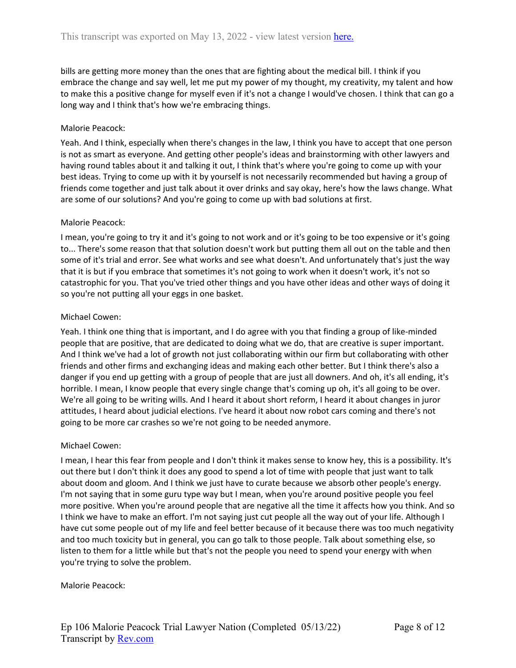bills are getting more money than the ones that are fighting about the medical bill. I think if you embrace the change and say well, let me put my power of my thought, my creativity, my talent and how to make this a positive change for myself even if it's not a change I would've chosen. I think that can go a long way and I think that's how we're embracing things.

## Malorie Peacock:

Yeah. And I think, especially when there's changes in the law, I think you have to accept that one person is not as smart as everyone. And getting other people's ideas and brainstorming with other lawyers and having round tables about it and talking it out, I think that's where you're going to come up with your best ideas. Trying to come up with it by yourself is not necessarily recommended but having a group of friends come together and just talk about it over drinks and say okay, here's how the laws change. What are some of our solutions? And you're going to come up with bad solutions at first.

## Malorie Peacock:

I mean, you're going to try it and it's going to not work and or it's going to be too expensive or it's going to... There's some reason that that solution doesn't work but putting them all out on the table and then some of it's trial and error. See what works and see what doesn't. And unfortunately that's just the way that it is but if you embrace that sometimes it's not going to work when it doesn't work, it's not so catastrophic for you. That you've tried other things and you have other ideas and other ways of doing it so you're not putting all your eggs in one basket.

### Michael Cowen:

Yeah. I think one thing that is important, and I do agree with you that finding a group of like-minded people that are positive, that are dedicated to doing what we do, that are creative is super important. And I think we've had a lot of growth not just collaborating within our firm but collaborating with other friends and other firms and exchanging ideas and making each other better. But I think there's also a danger if you end up getting with a group of people that are just all downers. And oh, it's all ending, it's horrible. I mean, I know people that every single change that's coming up oh, it's all going to be over. We're all going to be writing wills. And I heard it about short reform, I heard it about changes in juror attitudes, I heard about judicial elections. I've heard it about now robot cars coming and there's not going to be more car crashes so we're not going to be needed anymore.

## Michael Cowen:

I mean, I hear this fear from people and I don't think it makes sense to know hey, this is a possibility. It's out there but I don't think it does any good to spend a lot of time with people that just want to talk about doom and gloom. And I think we just have to curate because we absorb other people's energy. I'm not saying that in some guru type way but I mean, when you're around positive people you feel more positive. When you're around people that are negative all the time it affects how you think. And so I think we have to make an effort. I'm not saying just cut people all the way out of your life. Although I have cut some people out of my life and feel better because of it because there was too much negativity and too much toxicity but in general, you can go talk to those people. Talk about something else, so listen to them for a little while but that's not the people you need to spend your energy with when you're trying to solve the problem.

### Malorie Peacock: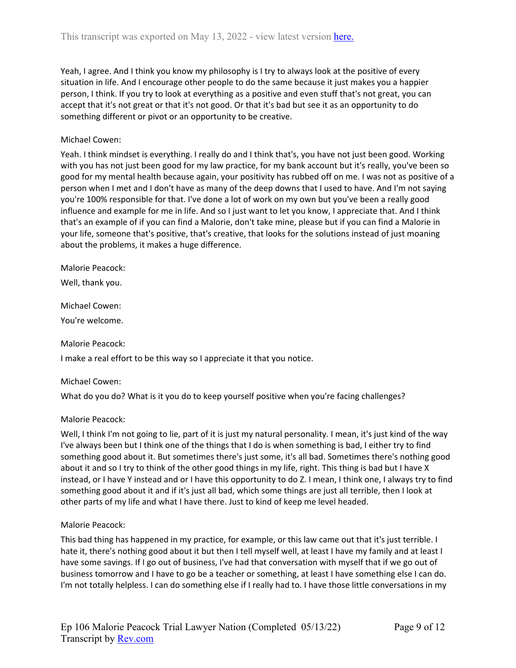Yeah, I agree. And I think you know my philosophy is I try to always look at the positive of every situation in life. And I encourage other people to do the same because it just makes you a happier person, I think. If you try to look at everything as a positive and even stuff that's not great, you can accept that it's not great or that it's not good. Or that it's bad but see it as an opportunity to do something different or pivot or an opportunity to be creative.

### Michael Cowen:

Yeah. I think mindset is everything. I really do and I think that's, you have not just been good. Working with you has not just been good for my law practice, for my bank account but it's really, you've been so good for my mental health because again, your positivity has rubbed off on me. I was not as positive of a person when I met and I don't have as many of the deep downs that I used to have. And I'm not saying you're 100% responsible for that. I've done a lot of work on my own but you've been a really good influence and example for me in life. And so I just want to let you know, I appreciate that. And I think that's an example of if you can find a Malorie, don't take mine, please but if you can find a Malorie in your life, someone that's positive, that's creative, that looks for the solutions instead of just moaning about the problems, it makes a huge difference.

Malorie Peacock:

Well, thank you.

Michael Cowen:

You're welcome.

### Malorie Peacock:

I make a real effort to be this way so I appreciate it that you notice.

### Michael Cowen:

What do you do? What is it you do to keep yourself positive when you're facing challenges?

### Malorie Peacock:

Well, I think I'm not going to lie, part of it is just my natural personality. I mean, it's just kind of the way I've always been but I think one of the things that I do is when something is bad, I either try to find something good about it. But sometimes there's just some, it's all bad. Sometimes there's nothing good about it and so I try to think of the other good things in my life, right. This thing is bad but I have X instead, or I have Y instead and or I have this opportunity to do Z. I mean, I think one, I always try to find something good about it and if it's just all bad, which some things are just all terrible, then I look at other parts of my life and what I have there. Just to kind of keep me level headed.

#### Malorie Peacock:

This bad thing has happened in my practice, for example, or this law came out that it's just terrible. I hate it, there's nothing good about it but then I tell myself well, at least I have my family and at least I have some savings. If I go out of business, I've had that conversation with myself that if we go out of business tomorrow and I have to go be a teacher or something, at least I have something else I can do. I'm not totally helpless. I can do something else if I really had to. I have those little conversations in my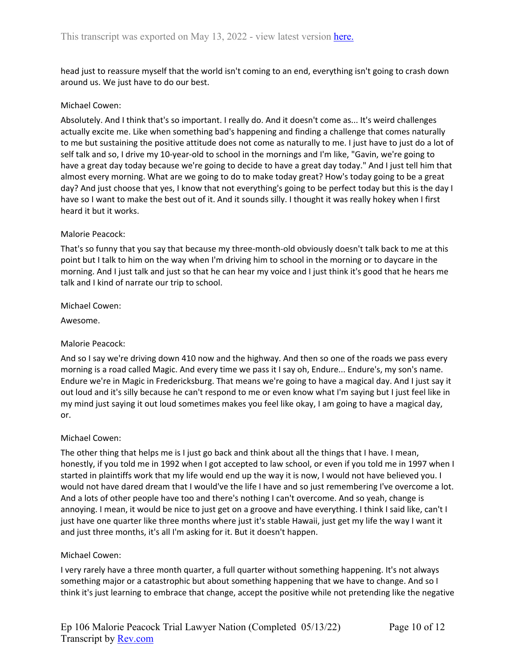head just to reassure myself that the world isn't coming to an end, everything isn't going to crash down around us. We just have to do our best.

### Michael Cowen:

Absolutely. And I think that's so important. I really do. And it doesn't come as... It's weird challenges actually excite me. Like when something bad's happening and finding a challenge that comes naturally to me but sustaining the positive attitude does not come as naturally to me. I just have to just do a lot of self talk and so, I drive my 10-year-old to school in the mornings and I'm like, "Gavin, we're going to have a great day today because we're going to decide to have a great day today." And I just tell him that almost every morning. What are we going to do to make today great? How's today going to be a great day? And just choose that yes, I know that not everything's going to be perfect today but this is the day I have so I want to make the best out of it. And it sounds silly. I thought it was really hokey when I first heard it but it works.

### Malorie Peacock:

That's so funny that you say that because my three-month-old obviously doesn't talk back to me at this point but I talk to him on the way when I'm driving him to school in the morning or to daycare in the morning. And I just talk and just so that he can hear my voice and I just think it's good that he hears me talk and I kind of narrate our trip to school.

### Michael Cowen:

Awesome.

## Malorie Peacock:

And so I say we're driving down 410 now and the highway. And then so one of the roads we pass every morning is a road called Magic. And every time we pass it I say oh, Endure... Endure's, my son's name. Endure we're in Magic in Fredericksburg. That means we're going to have a magical day. And I just say it out loud and it's silly because he can't respond to me or even know what I'm saying but I just feel like in my mind just saying it out loud sometimes makes you feel like okay, I am going to have a magical day, or.

### Michael Cowen:

The other thing that helps me is I just go back and think about all the things that I have. I mean, honestly, if you told me in 1992 when I got accepted to law school, or even if you told me in 1997 when I started in plaintiffs work that my life would end up the way it is now, I would not have believed you. I would not have dared dream that I would've the life I have and so just remembering I've overcome a lot. And a lots of other people have too and there's nothing I can't overcome. And so yeah, change is annoying. I mean, it would be nice to just get on a groove and have everything. I think I said like, can't I just have one quarter like three months where just it's stable Hawaii, just get my life the way I want it and just three months, it's all I'm asking for it. But it doesn't happen.

### Michael Cowen:

I very rarely have a three month quarter, a full quarter without something happening. It's not always something major or a catastrophic but about something happening that we have to change. And so I think it's just learning to embrace that change, accept the positive while not pretending like the negative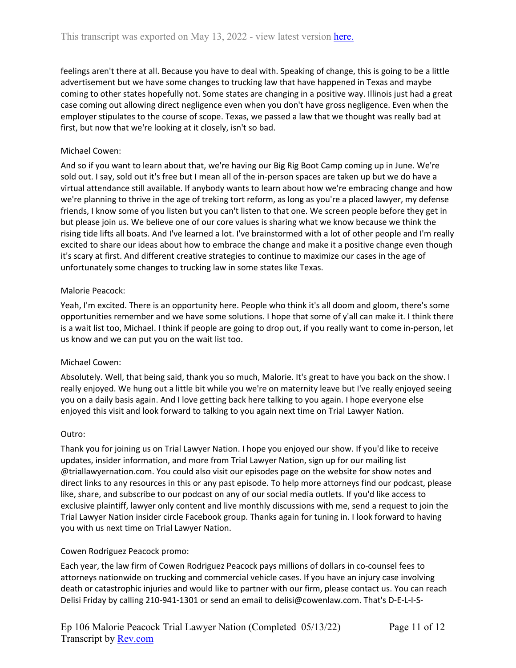feelings aren't there at all. Because you have to deal with. Speaking of change, this is going to be a little advertisement but we have some changes to trucking law that have happened in Texas and maybe coming to other states hopefully not. Some states are changing in a positive way. Illinois just had a great case coming out allowing direct negligence even when you don't have gross negligence. Even when the employer stipulates to the course of scope. Texas, we passed a law that we thought was really bad at first, but now that we're looking at it closely, isn't so bad.

# Michael Cowen:

And so if you want to learn about that, we're having our Big Rig Boot Camp coming up in June. We're sold out. I say, sold out it's free but I mean all of the in-person spaces are taken up but we do have a virtual attendance still available. If anybody wants to learn about how we're embracing change and how we're planning to thrive in the age of treking tort reform, as long as you're a placed lawyer, my defense friends, I know some of you listen but you can't listen to that one. We screen people before they get in but please join us. We believe one of our core values is sharing what we know because we think the rising tide lifts all boats. And I've learned a lot. I've brainstormed with a lot of other people and I'm really excited to share our ideas about how to embrace the change and make it a positive change even though it's scary at first. And different creative strategies to continue to maximize our cases in the age of unfortunately some changes to trucking law in some states like Texas.

## Malorie Peacock:

Yeah, I'm excited. There is an opportunity here. People who think it's all doom and gloom, there's some opportunities remember and we have some solutions. I hope that some of y'all can make it. I think there is a wait list too, Michael. I think if people are going to drop out, if you really want to come in-person, let us know and we can put you on the wait list too.

## Michael Cowen:

Absolutely. Well, that being said, thank you so much, Malorie. It's great to have you back on the show. I really enjoyed. We hung out a little bit while you we're on maternity leave but I've really enjoyed seeing you on a daily basis again. And I love getting back here talking to you again. I hope everyone else enjoyed this visit and look forward to talking to you again next time on Trial Lawyer Nation.

## Outro:

Thank you for joining us on Trial Lawyer Nation. I hope you enjoyed our show. If you'd like to receive updates, insider information, and more from Trial Lawyer Nation, sign up for our mailing list @triallawyernation.com. You could also visit our episodes page on the website for show notes and direct links to any resources in this or any past episode. To help more attorneys find our podcast, please like, share, and subscribe to our podcast on any of our social media outlets. If you'd like access to exclusive plaintiff, lawyer only content and live monthly discussions with me, send a request to join the Trial Lawyer Nation insider circle Facebook group. Thanks again for tuning in. I look forward to having you with us next time on Trial Lawyer Nation.

## Cowen Rodriguez Peacock promo:

Each year, the law firm of Cowen Rodriguez Peacock pays millions of dollars in co-counsel fees to attorneys nationwide on trucking and commercial vehicle cases. If you have an injury case involving death or catastrophic injuries and would like to partner with our firm, please contact us. You can reach Delisi Friday by calling 210-941-1301 or send an email to delisi@cowenlaw.com. That's D-E-L-I-S-